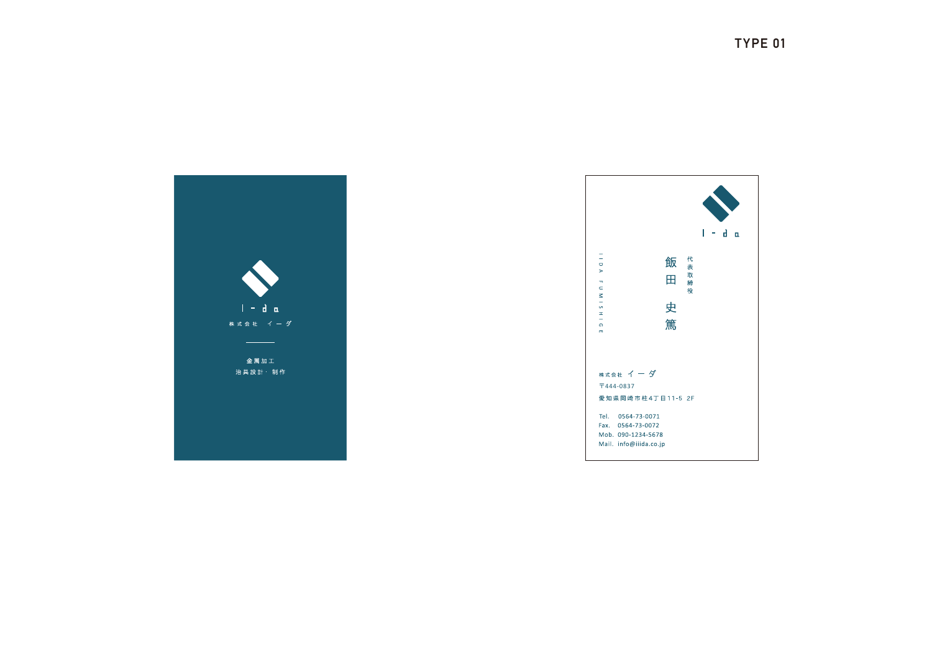



Mail. info@iiida.co.jp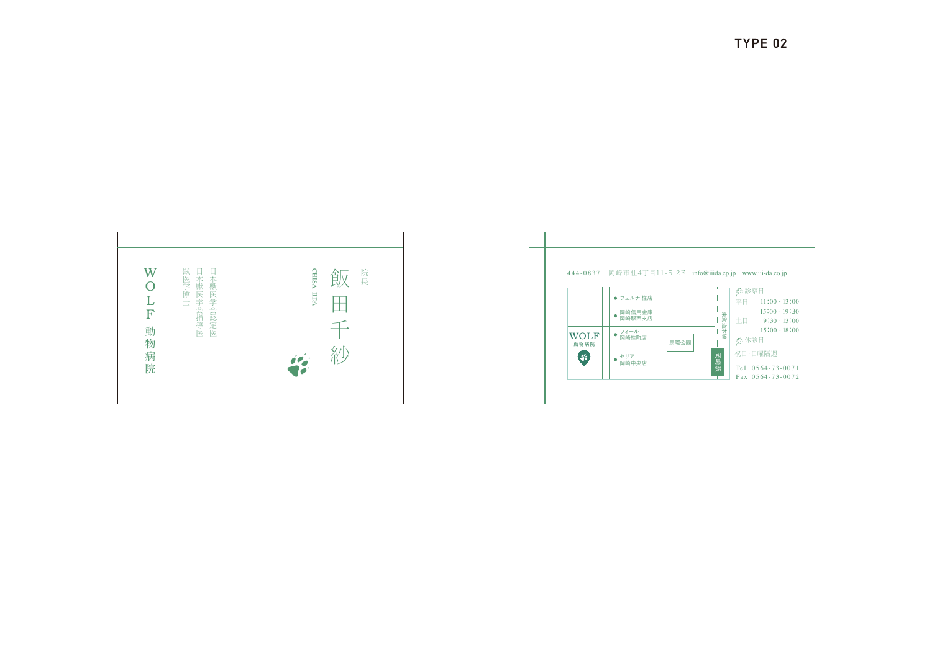



TYPE 02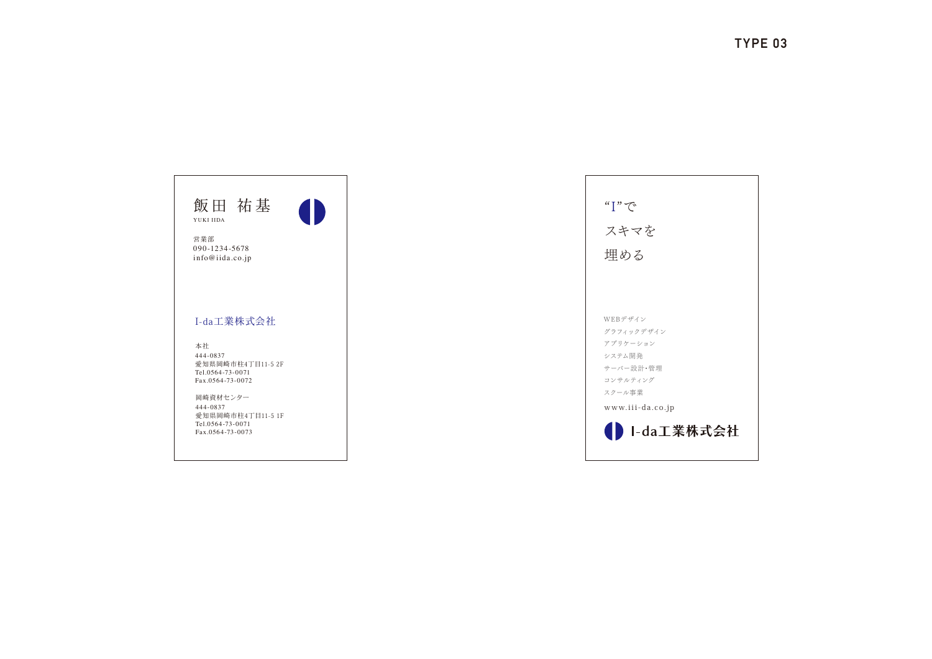| 飯田 祐基<br>YUKI IIDA                                                                |  |
|-----------------------------------------------------------------------------------|--|
| 営業部<br>090-1234-5678<br>info@iida.co.jp                                           |  |
| I-da工業株式会社                                                                        |  |
| 本社<br>444-0837<br>愛知県岡崎市柱4丁目11-5.2F<br>Tel.0564-73-0071<br>Fax.0564-73-0072       |  |
| 岡崎資材センター<br>444-0837<br>愛知県岡崎市柱4丁目11-5 1F<br>Tel.0564-73-0071<br>Fax.0564-73-0073 |  |
|                                                                                   |  |

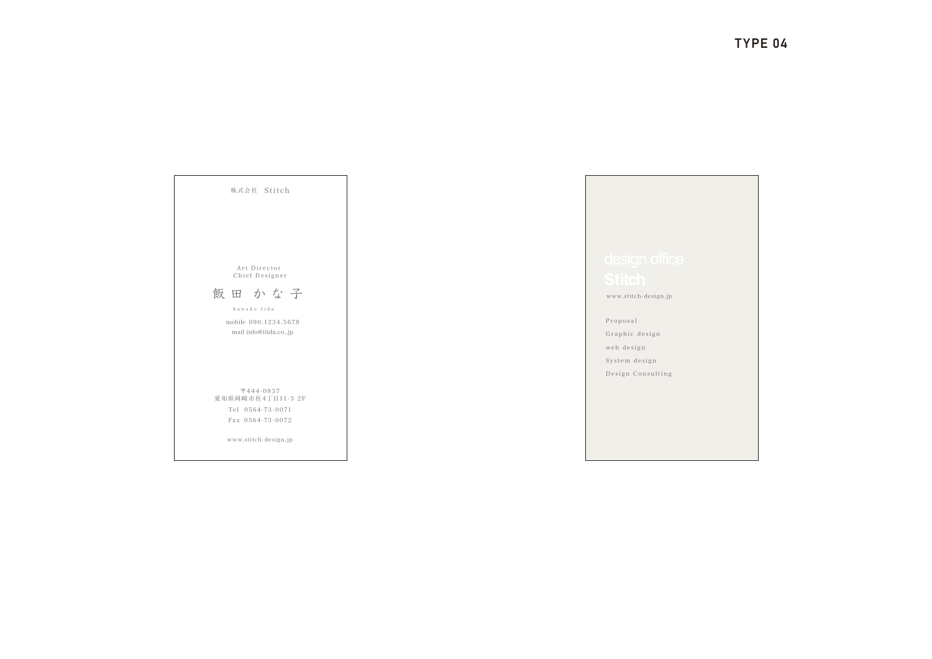Proposal Graphic design web design System design Design Consulting

www.stitch-design.jp